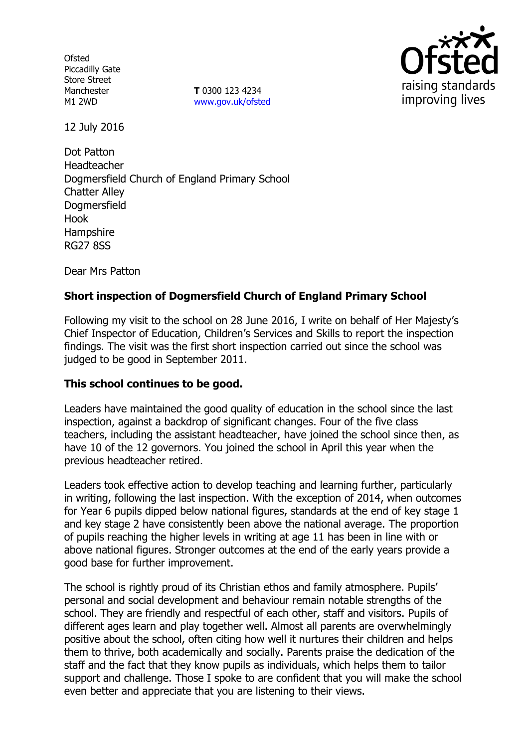**Ofsted** Piccadilly Gate Store Street Manchester M1 2WD

**T** 0300 123 4234 www.gov.uk/ofsted



12 July 2016

Dot Patton Headteacher Dogmersfield Church of England Primary School Chatter Alley Dogmersfield Hook Hampshire RG27 8SS

Dear Mrs Patton

# **Short inspection of Dogmersfield Church of England Primary School**

Following my visit to the school on 28 June 2016, I write on behalf of Her Majesty's Chief Inspector of Education, Children's Services and Skills to report the inspection findings. The visit was the first short inspection carried out since the school was judged to be good in September 2011.

## **This school continues to be good.**

Leaders have maintained the good quality of education in the school since the last inspection, against a backdrop of significant changes. Four of the five class teachers, including the assistant headteacher, have joined the school since then, as have 10 of the 12 governors. You joined the school in April this year when the previous headteacher retired.

Leaders took effective action to develop teaching and learning further, particularly in writing, following the last inspection. With the exception of 2014, when outcomes for Year 6 pupils dipped below national figures, standards at the end of key stage 1 and key stage 2 have consistently been above the national average. The proportion of pupils reaching the higher levels in writing at age 11 has been in line with or above national figures. Stronger outcomes at the end of the early years provide a good base for further improvement.

The school is rightly proud of its Christian ethos and family atmosphere. Pupils' personal and social development and behaviour remain notable strengths of the school. They are friendly and respectful of each other, staff and visitors. Pupils of different ages learn and play together well. Almost all parents are overwhelmingly positive about the school, often citing how well it nurtures their children and helps them to thrive, both academically and socially. Parents praise the dedication of the staff and the fact that they know pupils as individuals, which helps them to tailor support and challenge. Those I spoke to are confident that you will make the school even better and appreciate that you are listening to their views.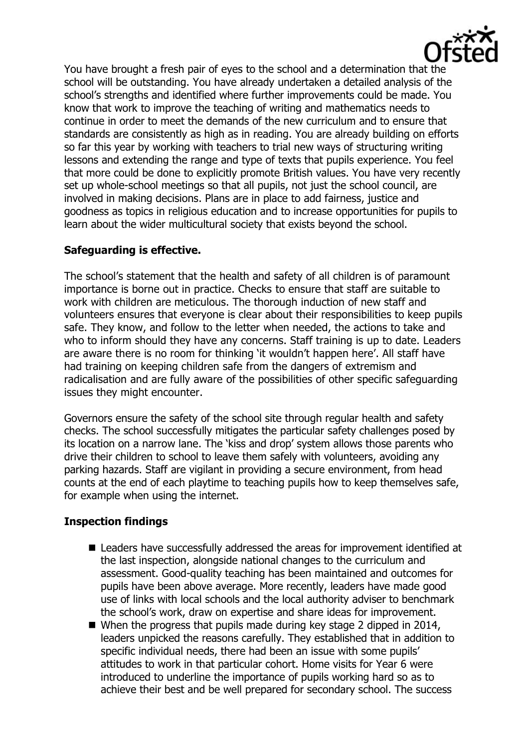

You have brought a fresh pair of eyes to the school and a determination that the school will be outstanding. You have already undertaken a detailed analysis of the school's strengths and identified where further improvements could be made. You know that work to improve the teaching of writing and mathematics needs to continue in order to meet the demands of the new curriculum and to ensure that standards are consistently as high as in reading. You are already building on efforts so far this year by working with teachers to trial new ways of structuring writing lessons and extending the range and type of texts that pupils experience. You feel that more could be done to explicitly promote British values. You have very recently set up whole-school meetings so that all pupils, not just the school council, are involved in making decisions. Plans are in place to add fairness, justice and goodness as topics in religious education and to increase opportunities for pupils to learn about the wider multicultural society that exists beyond the school.

# **Safeguarding is effective.**

The school's statement that the health and safety of all children is of paramount importance is borne out in practice. Checks to ensure that staff are suitable to work with children are meticulous. The thorough induction of new staff and volunteers ensures that everyone is clear about their responsibilities to keep pupils safe. They know, and follow to the letter when needed, the actions to take and who to inform should they have any concerns. Staff training is up to date. Leaders are aware there is no room for thinking 'it wouldn't happen here'. All staff have had training on keeping children safe from the dangers of extremism and radicalisation and are fully aware of the possibilities of other specific safeguarding issues they might encounter.

Governors ensure the safety of the school site through regular health and safety checks. The school successfully mitigates the particular safety challenges posed by its location on a narrow lane. The 'kiss and drop' system allows those parents who drive their children to school to leave them safely with volunteers, avoiding any parking hazards. Staff are vigilant in providing a secure environment, from head counts at the end of each playtime to teaching pupils how to keep themselves safe, for example when using the internet.

## **Inspection findings**

- Leaders have successfully addressed the areas for improvement identified at the last inspection, alongside national changes to the curriculum and assessment. Good-quality teaching has been maintained and outcomes for pupils have been above average. More recently, leaders have made good use of links with local schools and the local authority adviser to benchmark the school's work, draw on expertise and share ideas for improvement.
- When the progress that pupils made during key stage 2 dipped in 2014, leaders unpicked the reasons carefully. They established that in addition to specific individual needs, there had been an issue with some pupils' attitudes to work in that particular cohort. Home visits for Year 6 were introduced to underline the importance of pupils working hard so as to achieve their best and be well prepared for secondary school. The success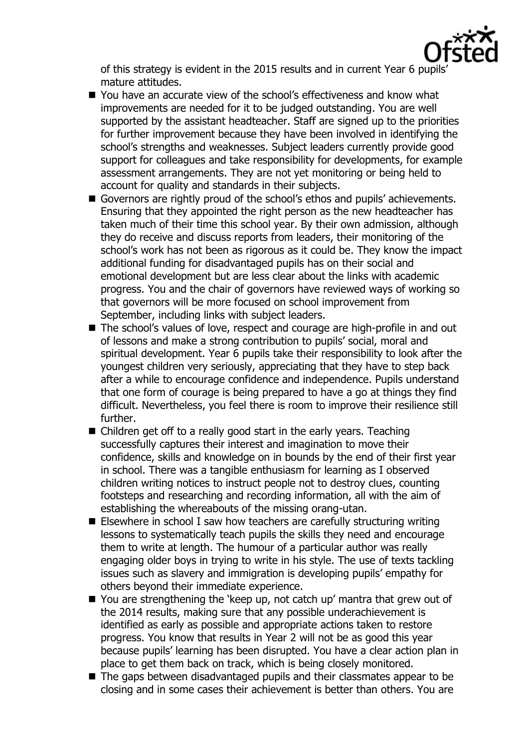

of this strategy is evident in the 2015 results and in current Year 6 pupils' mature attitudes.

- You have an accurate view of the school's effectiveness and know what improvements are needed for it to be judged outstanding. You are well supported by the assistant headteacher. Staff are signed up to the priorities for further improvement because they have been involved in identifying the school's strengths and weaknesses. Subject leaders currently provide good support for colleagues and take responsibility for developments, for example assessment arrangements. They are not yet monitoring or being held to account for quality and standards in their subjects.
- Governors are rightly proud of the school's ethos and pupils' achievements. Ensuring that they appointed the right person as the new headteacher has taken much of their time this school year. By their own admission, although they do receive and discuss reports from leaders, their monitoring of the school's work has not been as rigorous as it could be. They know the impact additional funding for disadvantaged pupils has on their social and emotional development but are less clear about the links with academic progress. You and the chair of governors have reviewed ways of working so that governors will be more focused on school improvement from September, including links with subject leaders.
- The school's values of love, respect and courage are high-profile in and out of lessons and make a strong contribution to pupils' social, moral and spiritual development. Year 6 pupils take their responsibility to look after the youngest children very seriously, appreciating that they have to step back after a while to encourage confidence and independence. Pupils understand that one form of courage is being prepared to have a go at things they find difficult. Nevertheless, you feel there is room to improve their resilience still further.
- Children get off to a really good start in the early years. Teaching successfully captures their interest and imagination to move their confidence, skills and knowledge on in bounds by the end of their first year in school. There was a tangible enthusiasm for learning as I observed children writing notices to instruct people not to destroy clues, counting footsteps and researching and recording information, all with the aim of establishing the whereabouts of the missing orang-utan.
- Elsewhere in school I saw how teachers are carefully structuring writing lessons to systematically teach pupils the skills they need and encourage them to write at length. The humour of a particular author was really engaging older boys in trying to write in his style. The use of texts tackling issues such as slavery and immigration is developing pupils' empathy for others beyond their immediate experience.
- You are strengthening the 'keep up, not catch up' mantra that grew out of the 2014 results, making sure that any possible underachievement is identified as early as possible and appropriate actions taken to restore progress. You know that results in Year 2 will not be as good this year because pupils' learning has been disrupted. You have a clear action plan in place to get them back on track, which is being closely monitored.
- The gaps between disadvantaged pupils and their classmates appear to be closing and in some cases their achievement is better than others. You are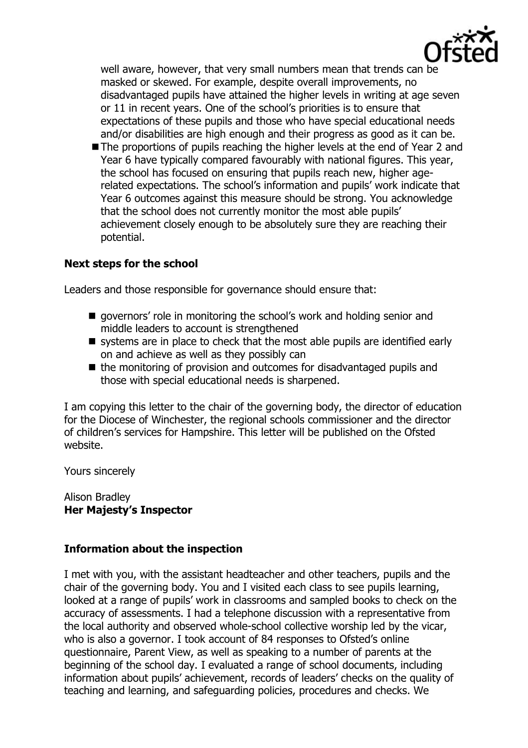

well aware, however, that very small numbers mean that trends can be masked or skewed. For example, despite overall improvements, no disadvantaged pupils have attained the higher levels in writing at age seven or 11 in recent years. One of the school's priorities is to ensure that expectations of these pupils and those who have special educational needs and/or disabilities are high enough and their progress as good as it can be.

The proportions of pupils reaching the higher levels at the end of Year 2 and Year 6 have typically compared favourably with national figures. This year, the school has focused on ensuring that pupils reach new, higher agerelated expectations. The school's information and pupils' work indicate that Year 6 outcomes against this measure should be strong. You acknowledge that the school does not currently monitor the most able pupils' achievement closely enough to be absolutely sure they are reaching their potential.

## **Next steps for the school**

Leaders and those responsible for governance should ensure that:

- $\blacksquare$  governors' role in monitoring the school's work and holding senior and middle leaders to account is strengthened
- systems are in place to check that the most able pupils are identified early on and achieve as well as they possibly can
- $\blacksquare$  the monitoring of provision and outcomes for disadvantaged pupils and those with special educational needs is sharpened.

I am copying this letter to the chair of the governing body, the director of education for the Diocese of Winchester, the regional schools commissioner and the director of children's services for Hampshire. This letter will be published on the Ofsted website.

Yours sincerely

Alison Bradley **Her Majesty's Inspector**

## **Information about the inspection**

I met with you, with the assistant headteacher and other teachers, pupils and the chair of the governing body. You and I visited each class to see pupils learning, looked at a range of pupils' work in classrooms and sampled books to check on the accuracy of assessments. I had a telephone discussion with a representative from the local authority and observed whole-school collective worship led by the vicar, who is also a governor. I took account of 84 responses to Ofsted's online questionnaire, Parent View, as well as speaking to a number of parents at the beginning of the school day. I evaluated a range of school documents, including information about pupils' achievement, records of leaders' checks on the quality of teaching and learning, and safeguarding policies, procedures and checks. We